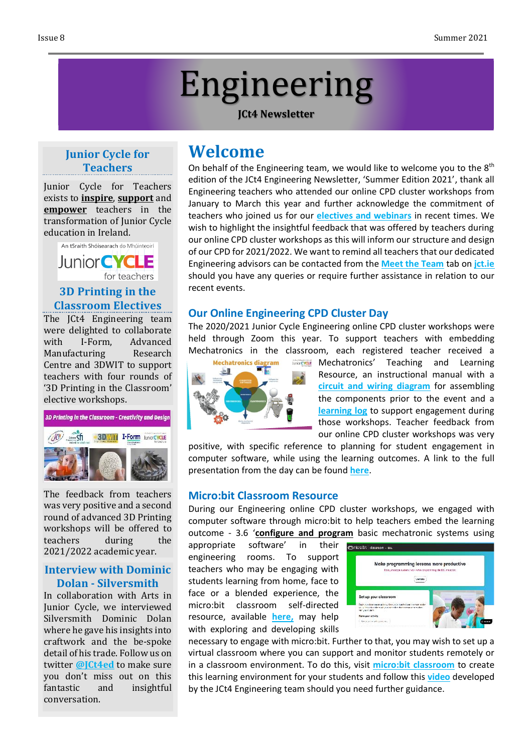# Engineering

#### **JCt4 Newsletter**

# **Junior Cycle for Teachers**

Junior Cycle for Teachers exists to **inspire**, **support** and **empower** teachers in the transformation of Junior Cycle education in Ireland.



# **3D Printing in the Classroom Electives**

The JCt4 Engineering team were delighted to collaborate with I-Form, Advanced Manufacturing Research Centre and 3DWIT to support teachers with four rounds of '3D Printing in the Classroom' elective workshops.



The feedback from teachers was very positive and a second round of advanced 3D Printing workshops will be offered to teachers during the 2021/2022 academic year.

#### **Interview with Dominic Dolan - Silversmith**

In collaboration with Arts in Junior Cycle, we interviewed Silversmith Dominic Dolan where he gave his insights into craftwork and the be-spoke detail of his trade. Follow us on twitter **[@JCt4ed](https://twitter.com/JCt4ed)** to make sure you don't miss out on this fantastic and insightful conversation.

# **Welcome**

On behalf of the Engineering team, we would like to welcome you to the  $8<sup>th</sup>$ edition of the JCt4 Engineering Newsletter, 'Summer Edition 2021', thank all Engineering teachers who attended our online CPD cluster workshops from January to March this year and further acknowledge the commitment of teachers who joined us for our **[electives and webinars](https://www.jct.ie/technologies/cpd_supports_engineering_elective_workshops)** in recent times. We wish to highlight the insightful feedback that was offered by teachers during our online CPD cluster workshops as this will inform our structure and design of our CPD for 2021/2022. We want to remind all teachers that our dedicated Engineering advisors can be contacted from the **[Meet the Team](http://jct.ie/home/meet_the_team)** tab on **[jct.ie](http://jct.ie/home/home.php)** should you have any queries or require further assistance in relation to our recent events.

## **Our Online Engineering CPD Cluster Day**

The 2020/2021 Junior Cycle Engineering online CPD cluster workshops were held through Zoom this year. To support teachers with embedding Mechatronics in the classroom, each registered teacher received a



*MAGECALE* Mechatronics' Teaching and Learning Resource, an instructional manual with a **circuit and wiring [diagram](https://youtu.be/v58jzGKgX-k)** for assembling the components prior to the event and a **[learning](https://drive.google.com/file/d/1KZtriPsyk133El-aErt9RvuwWgATgdK_/view) log** to support engagement during those workshops. Teacher feedback from our online CPD cluster workshops was very

positive, with specific reference to planning for student engagement in computer software, while using the learning outcomes. A link to the full presentation from the day can be found **[here](https://drive.google.com/file/d/1SIT6zJHdvT6rlhH7CZjgFbl1QCdK-rFj/view)**.

#### **Micro:bit Classroom Resource**

During our Engineering online CPD cluster workshops, we engaged with computer software through micro:bit to help teachers embed the learning outcome - 3.6 '**configure and program** basic mechatronic systems using

appropriate software' in their engineering rooms. To support teachers who may be engaging with students learning from home, face to face or a blended experience, the micro:bit classroom self-directed resource, available **[here,](https://jct.ie/perch/resources/technologies/microbit-classroom-resource.pdf)** may help with exploring and developing skills



necessary to engage with micro:bit. Further to that, you may wish to set up a virtual classroom where you can support and monitor students remotely or in a classroom environment. To do this, visit **micro:bit [classroom](https://classroom.microbit.org/)** to create this learning environment for your students and follow this **[video](https://www.youtube.com/watch?v=LyWc3y_-3mU)** developed by the JCt4 Engineering team should you need further guidance.